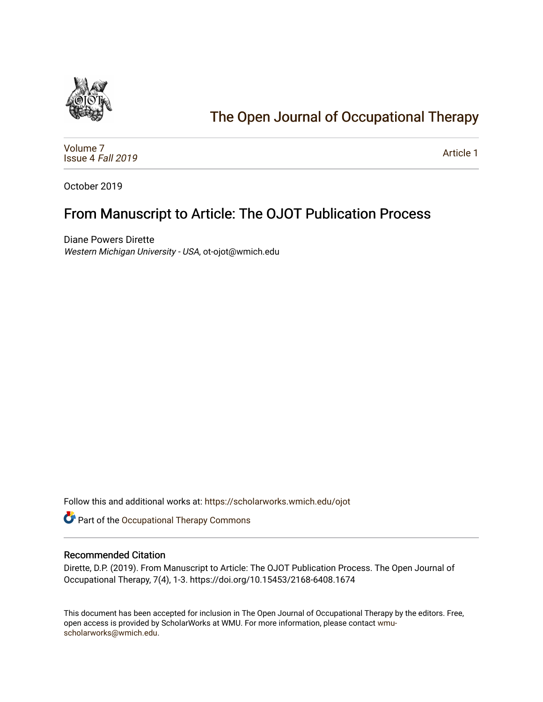

# [The Open Journal of Occupational Therapy](https://scholarworks.wmich.edu/ojot)

[Volume 7](https://scholarworks.wmich.edu/ojot/vol7) [Issue 4](https://scholarworks.wmich.edu/ojot/vol7/iss4) Fall 2019

[Article 1](https://scholarworks.wmich.edu/ojot/vol7/iss4/1) 

October 2019

## From Manuscript to Article: The OJOT Publication Process

Diane Powers Dirette Western Michigan University - USA, ot-ojot@wmich.edu

Follow this and additional works at: [https://scholarworks.wmich.edu/ojot](https://scholarworks.wmich.edu/ojot?utm_source=scholarworks.wmich.edu%2Fojot%2Fvol7%2Fiss4%2F1&utm_medium=PDF&utm_campaign=PDFCoverPages)

Part of the [Occupational Therapy Commons](http://network.bepress.com/hgg/discipline/752?utm_source=scholarworks.wmich.edu%2Fojot%2Fvol7%2Fiss4%2F1&utm_medium=PDF&utm_campaign=PDFCoverPages) 

### Recommended Citation

Dirette, D.P. (2019). From Manuscript to Article: The OJOT Publication Process. The Open Journal of Occupational Therapy, 7(4), 1-3. https://doi.org/10.15453/2168-6408.1674

This document has been accepted for inclusion in The Open Journal of Occupational Therapy by the editors. Free, open access is provided by ScholarWorks at WMU. For more information, please contact [wmu](mailto:wmu-scholarworks@wmich.edu)[scholarworks@wmich.edu.](mailto:wmu-scholarworks@wmich.edu)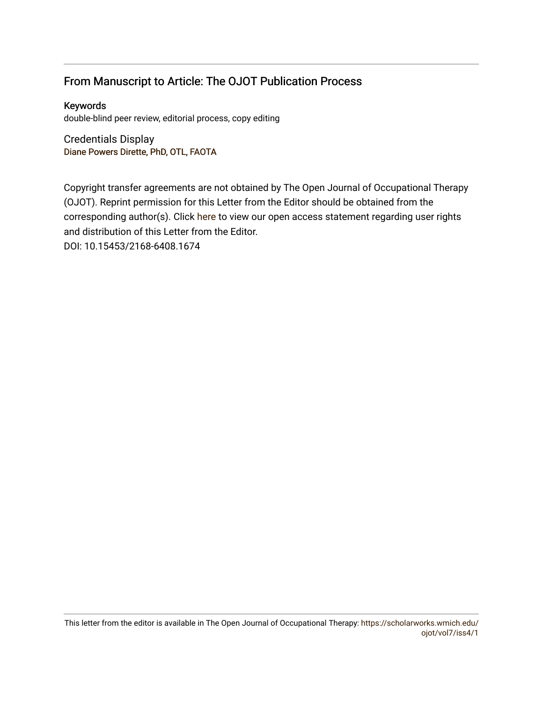### From Manuscript to Article: The OJOT Publication Process

Keywords double-blind peer review, editorial process, copy editing

Credentials Display Diane Powers Dir[ette, PhD, OTL, FAOTA](http://scholarworks.wmich.edu/boardprofiles/16/)

Copyright transfer agreements are not obtained by The Open Journal of Occupational Therapy (OJOT). Reprint permission for this Letter from the Editor should be obtained from the corresponding author(s). Click [here](https://scholarworks.wmich.edu/ojot/policies.html#rights) to view our open access statement regarding user rights and distribution of this Letter from the Editor. DOI: 10.15453/2168-6408.1674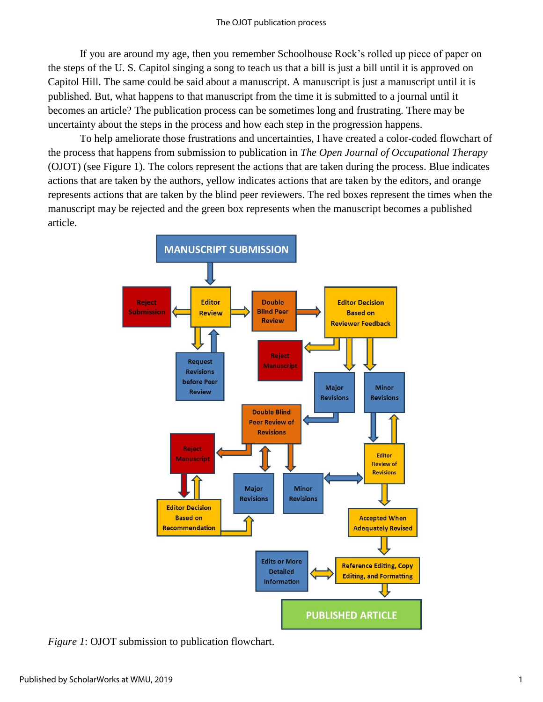If you are around my age, then you remember Schoolhouse Rock's rolled up piece of paper on the steps of the U. S. Capitol singing a song to teach us that a bill is just a bill until it is approved on Capitol Hill. The same could be said about a manuscript. A manuscript is just a manuscript until it is published. But, what happens to that manuscript from the time it is submitted to a journal until it becomes an article? The publication process can be sometimes long and frustrating. There may be uncertainty about the steps in the process and how each step in the progression happens.

To help ameliorate those frustrations and uncertainties, I have created a color-coded flowchart of the process that happens from submission to publication in *The Open Journal of Occupational Therapy* (OJOT) (see Figure 1). The colors represent the actions that are taken during the process. Blue indicates actions that are taken by the authors, yellow indicates actions that are taken by the editors, and orange represents actions that are taken by the blind peer reviewers. The red boxes represent the times when the manuscript may be rejected and the green box represents when the manuscript becomes a published article.



*Figure 1*: OJOT submission to publication flowchart.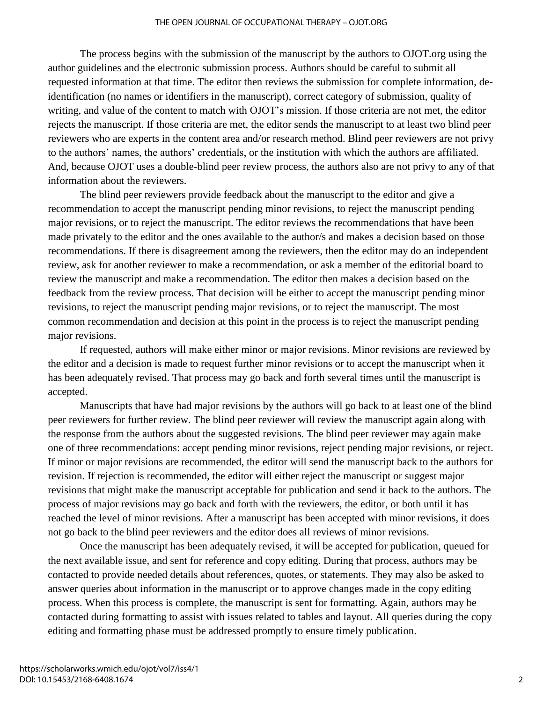#### THE OPEN JOURNAL OF OCCUPATIONAL THERAPY – OJOT.ORG

The process begins with the submission of the manuscript by the authors to OJOT.org using the author guidelines and the electronic submission process. Authors should be careful to submit all requested information at that time. The editor then reviews the submission for complete information, deidentification (no names or identifiers in the manuscript), correct category of submission, quality of writing, and value of the content to match with OJOT's mission. If those criteria are not met, the editor rejects the manuscript. If those criteria are met, the editor sends the manuscript to at least two blind peer reviewers who are experts in the content area and/or research method. Blind peer reviewers are not privy to the authors' names, the authors' credentials, or the institution with which the authors are affiliated. And, because OJOT uses a double-blind peer review process, the authors also are not privy to any of that information about the reviewers.

The blind peer reviewers provide feedback about the manuscript to the editor and give a recommendation to accept the manuscript pending minor revisions, to reject the manuscript pending major revisions, or to reject the manuscript. The editor reviews the recommendations that have been made privately to the editor and the ones available to the author/s and makes a decision based on those recommendations. If there is disagreement among the reviewers, then the editor may do an independent review, ask for another reviewer to make a recommendation, or ask a member of the editorial board to review the manuscript and make a recommendation. The editor then makes a decision based on the feedback from the review process. That decision will be either to accept the manuscript pending minor revisions, to reject the manuscript pending major revisions, or to reject the manuscript. The most common recommendation and decision at this point in the process is to reject the manuscript pending major revisions.

If requested, authors will make either minor or major revisions. Minor revisions are reviewed by the editor and a decision is made to request further minor revisions or to accept the manuscript when it has been adequately revised. That process may go back and forth several times until the manuscript is accepted.

Manuscripts that have had major revisions by the authors will go back to at least one of the blind peer reviewers for further review. The blind peer reviewer will review the manuscript again along with the response from the authors about the suggested revisions. The blind peer reviewer may again make one of three recommendations: accept pending minor revisions, reject pending major revisions, or reject. If minor or major revisions are recommended, the editor will send the manuscript back to the authors for revision. If rejection is recommended, the editor will either reject the manuscript or suggest major revisions that might make the manuscript acceptable for publication and send it back to the authors. The process of major revisions may go back and forth with the reviewers, the editor, or both until it has reached the level of minor revisions. After a manuscript has been accepted with minor revisions, it does not go back to the blind peer reviewers and the editor does all reviews of minor revisions.

Once the manuscript has been adequately revised, it will be accepted for publication, queued for the next available issue, and sent for reference and copy editing. During that process, authors may be contacted to provide needed details about references, quotes, or statements. They may also be asked to answer queries about information in the manuscript or to approve changes made in the copy editing process. When this process is complete, the manuscript is sent for formatting. Again, authors may be contacted during formatting to assist with issues related to tables and layout. All queries during the copy editing and formatting phase must be addressed promptly to ensure timely publication.